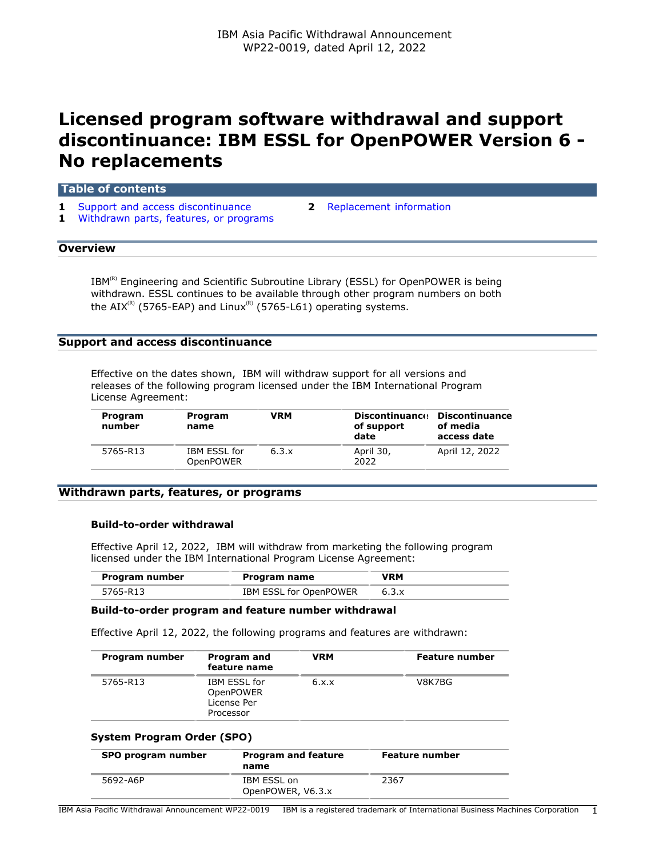# **Licensed program software withdrawal and support discontinuance: IBM ESSL for OpenPOWER Version 6 - No replacements**

# **Table of contents**

- **1** [Support and access discontinuance](#page-0-0) **2** [Replacement information](#page-1-0)
- **1** [Withdrawn parts, features, or programs](#page-0-1)
- 

# **Overview**

 $IBM^{(R)}$  Engineering and Scientific Subroutine Library (ESSL) for OpenPOWER is being withdrawn. ESSL continues to be available through other program numbers on both the AIX<sup>(R)</sup> (5765-EAP) and Linux<sup>(R)</sup> (5765-L61) operating systems.

# <span id="page-0-0"></span>**Support and access discontinuance**

Effective on the dates shown, IBM will withdraw support for all versions and releases of the following program licensed under the IBM International Program License Agreement:

| Program<br>number | Program<br>name                         | VRM   | <b>Discontinuance</b><br>of support<br>date | Discontinuance<br>of media<br>access date |
|-------------------|-----------------------------------------|-------|---------------------------------------------|-------------------------------------------|
| 5765-R13          | <b>IBM ESSL for</b><br><b>OpenPOWER</b> | 6.3.x | April 30,<br>2022                           | April 12, 2022                            |

# <span id="page-0-1"></span>**Withdrawn parts, features, or programs**

# **Build-to-order withdrawal**

Effective April 12, 2022, IBM will withdraw from marketing the following program licensed under the IBM International Program License Agreement:

| Program number | Program name           | VRM |
|----------------|------------------------|-----|
| 5765-R13       | IBM ESSL for OpenPOWER |     |

# **Build-to-order program and feature number withdrawal**

Effective April 12, 2022, the following programs and features are withdrawn:

| Program number | <b>Program and</b><br>feature name                                  | <b>VRM</b> | <b>Feature number</b> |
|----------------|---------------------------------------------------------------------|------------|-----------------------|
| 5765-R13       | <b>IBM ESSL for</b><br><b>OpenPOWER</b><br>License Per<br>Processor | 6.x.x      | V8K7BG                |

### **System Program Order (SPO)**

| SPO program number | <b>Program and feature</b><br>name | <b>Feature number</b> |
|--------------------|------------------------------------|-----------------------|
| 5692-A6P           | IBM ESSL on<br>OpenPOWER, V6.3.x   | 2367                  |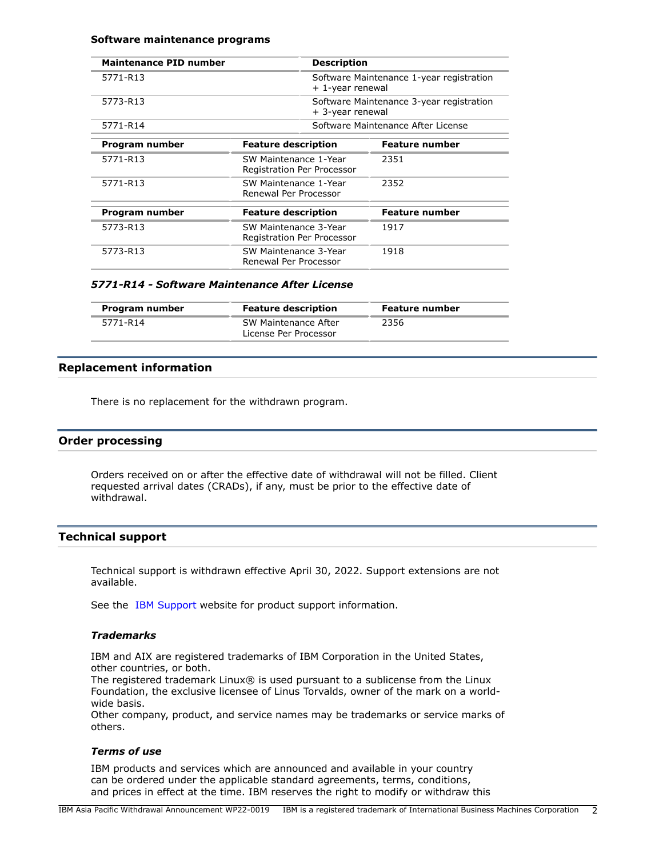#### **Software maintenance programs**

| <b>Maintenance PID number</b> | <b>Description</b>                                  |                                                              |
|-------------------------------|-----------------------------------------------------|--------------------------------------------------------------|
| 5771-R13                      |                                                     | Software Maintenance 1-year registration<br>+ 1-year renewal |
| 5773-R13                      |                                                     | Software Maintenance 3-year registration<br>+ 3-year renewal |
| 5771-R14                      |                                                     | Software Maintenance After License                           |
| Program number                | <b>Feature description</b>                          | <b>Feature number</b>                                        |
| 5771-R13                      | SW Maintenance 1-Year<br>Registration Per Processor | 2351                                                         |
| 5771-R13                      | SW Maintenance 1-Year<br>Renewal Per Processor      | 2352                                                         |
| Program number                | <b>Feature description</b>                          | Feature number                                               |
| 5773-R13                      | SW Maintenance 3-Year<br>Registration Per Processor | 1917                                                         |
| 5773-R13                      | SW Maintenance 3-Year<br>Renewal Per Processor      | 1918                                                         |

#### *5771-R14 - Software Maintenance After License*

| Program number | <b>Feature description</b>                    | Feature number |
|----------------|-----------------------------------------------|----------------|
| 5771-R14       | SW Maintenance After<br>License Per Processor | 2356           |

# <span id="page-1-0"></span>**Replacement information**

There is no replacement for the withdrawn program.

# **Order processing**

Orders received on or after the effective date of withdrawal will not be filled. Client requested arrival dates (CRADs), if any, must be prior to the effective date of withdrawal.

# **Technical support**

Technical support is withdrawn effective April 30, 2022. Support extensions are not available.

See the [IBM Support](https://www.ibm.com/support) website for product support information.

# *Trademarks*

IBM and AIX are registered trademarks of IBM Corporation in the United States, other countries, or both.

The registered trademark Linux® is used pursuant to a sublicense from the Linux Foundation, the exclusive licensee of Linus Torvalds, owner of the mark on a worldwide basis.

Other company, product, and service names may be trademarks or service marks of others.

# *Terms of use*

IBM products and services which are announced and available in your country can be ordered under the applicable standard agreements, terms, conditions, and prices in effect at the time. IBM reserves the right to modify or withdraw this